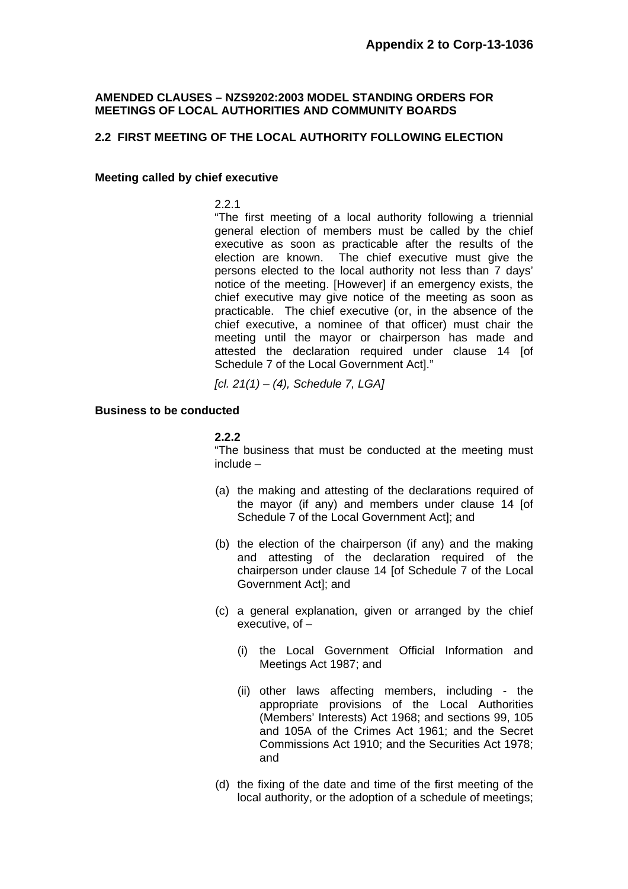# **AMENDED CLAUSES – NZS9202:2003 MODEL STANDING ORDERS FOR MEETINGS OF LOCAL AUTHORITIES AND COMMUNITY BOARDS**

# **2.2 FIRST MEETING OF THE LOCAL AUTHORITY FOLLOWING ELECTION**

#### **Meeting called by chief executive**

2.2.1

 "The first meeting of a local authority following a triennial general election of members must be called by the chief executive as soon as practicable after the results of the election are known. The chief executive must give the persons elected to the local authority not less than 7 days' notice of the meeting. [However] if an emergency exists, the chief executive may give notice of the meeting as soon as practicable. The chief executive (or, in the absence of the chief executive, a nominee of that officer) must chair the meeting until the mayor or chairperson has made and attested the declaration required under clause 14 [of Schedule 7 of the Local Government Act]."

*[cl. 21(1) – (4), Schedule 7, LGA]* 

## **Business to be conducted**

### **2.2.2**

"The business that must be conducted at the meeting must include –

- (a) the making and attesting of the declarations required of the mayor (if any) and members under clause 14 [of Schedule 7 of the Local Government Act]; and
- (b) the election of the chairperson (if any) and the making and attesting of the declaration required of the chairperson under clause 14 [of Schedule 7 of the Local Government Act]; and
- (c) a general explanation, given or arranged by the chief executive, of –
	- (i) the Local Government Official Information and Meetings Act 1987; and
	- (ii) other laws affecting members, including the appropriate provisions of the Local Authorities (Members' Interests) Act 1968; and sections 99, 105 and 105A of the Crimes Act 1961; and the Secret Commissions Act 1910; and the Securities Act 1978; and
- (d) the fixing of the date and time of the first meeting of the local authority, or the adoption of a schedule of meetings;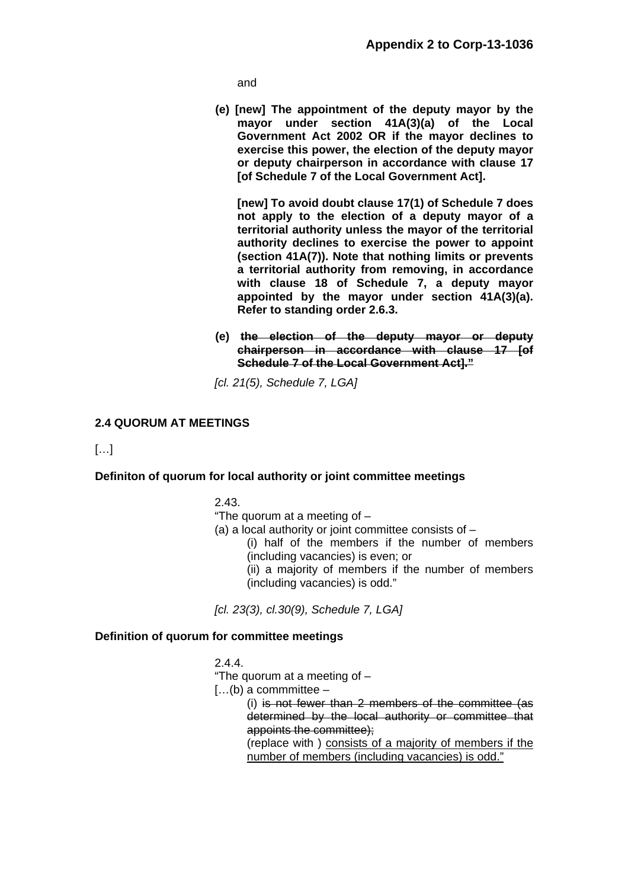and

 **(e) [new] The appointment of the deputy mayor by the mayor under section 41A(3)(a) of the Local Government Act 2002 OR if the mayor declines to exercise this power, the election of the deputy mayor or deputy chairperson in accordance with clause 17 [of Schedule 7 of the Local Government Act].** 

 **[new] To avoid doubt clause 17(1) of Schedule 7 does not apply to the election of a deputy mayor of a territorial authority unless the mayor of the territorial authority declines to exercise the power to appoint (section 41A(7)). Note that nothing limits or prevents a territorial authority from removing, in accordance with clause 18 of Schedule 7, a deputy mayor appointed by the mayor under section 41A(3)(a). Refer to standing order 2.6.3.** 

 **(e) the election of the deputy mayor or deputy chairperson in accordance with clause 17 [of Schedule 7 of the Local Government Act]."**

*[cl. 21(5), Schedule 7, LGA]* 

# **2.4 QUORUM AT MEETINGS**

[…]

# **Definiton of quorum for local authority or joint committee meetings**

2.43.

- "The quorum at a meeting of –
- (a) a local authority or joint committee consists of
	- (i) half of the members if the number of members (including vacancies) is even; or
	- (ii) a majority of members if the number of members (including vacancies) is odd."

*[cl. 23(3), cl.30(9), Schedule 7, LGA]* 

#### **Definition of quorum for committee meetings**

2.4.4.

"The quorum at a meeting of –

 $[...]$ (b) a commmittee –

 (i) is not fewer than 2 members of the committee (as determined by the local authority or committee that appoints the committee);

 (replace with ) consists of a majority of members if the number of members (including vacancies) is odd."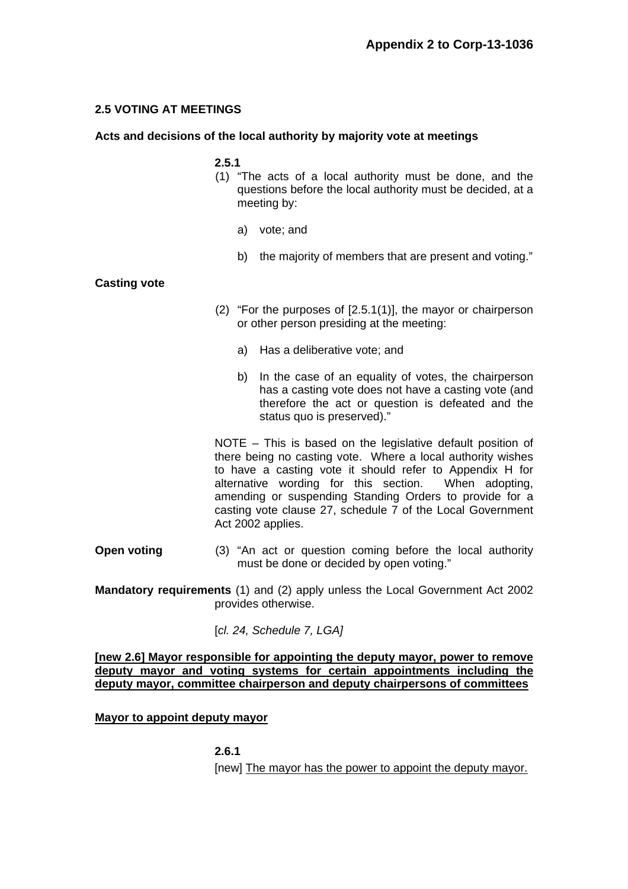# **2.5 VOTING AT MEETINGS**

# **Acts and decisions of the local authority by majority vote at meetings**

### **2.5.1**

- (1) "The acts of a local authority must be done, and the questions before the local authority must be decided, at a meeting by:
	- a) vote; and
	- b) the majority of members that are present and voting."

### **Casting vote**

- (2) "For the purposes of [2.5.1(1)], the mayor or chairperson or other person presiding at the meeting:
	- a) Has a deliberative vote; and
	- b) In the case of an equality of votes, the chairperson has a casting vote does not have a casting vote (and therefore the act or question is defeated and the status quo is preserved)."

 NOTE – This is based on the legislative default position of there being no casting vote. Where a local authority wishes to have a casting vote it should refer to Appendix H for alternative wording for this section. When adopting, amending or suspending Standing Orders to provide for a casting vote clause 27, schedule 7 of the Local Government Act 2002 applies.

**Open voting** (3) "An act or question coming before the local authority must be done or decided by open voting."

**Mandatory requirements** (1) and (2) apply unless the Local Government Act 2002 provides otherwise.

[*cl. 24, Schedule 7, LGA]*

### **[new 2.6] Mayor responsible for appointing the deputy mayor, power to remove deputy mayor and voting systems for certain appointments including the deputy mayor, committee chairperson and deputy chairpersons of committees**

**Mayor to appoint deputy mayor** 

**2.6.1** 

[new] The mayor has the power to appoint the deputy mayor.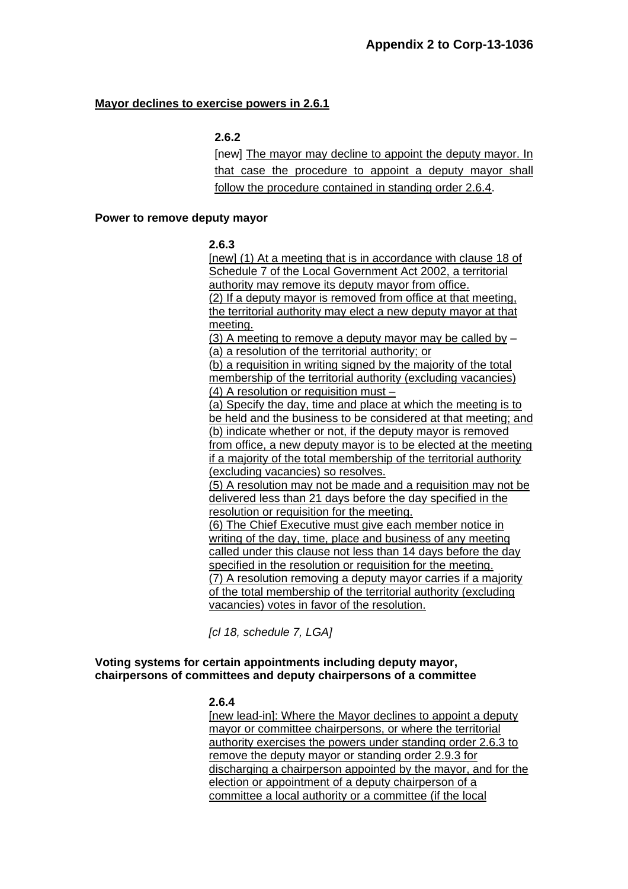# **Mayor declines to exercise powers in 2.6.1**

# **2.6.2**

[new] The mayor may decline to appoint the deputy mayor. In that case the procedure to appoint a deputy mayor shall follow the procedure contained in standing order 2.6.4.

#### **Power to remove deputy mayor**

### **2.6.3**

[new] (1) At a meeting that is in accordance with clause 18 of Schedule 7 of the Local Government Act 2002, a territorial authority may remove its deputy mayor from office. (2) If a deputy mayor is removed from office at that meeting, the territorial authority may elect a new deputy mayor at that meeting.

(3) A meeting to remove a deputy mayor may be called by – (a) a resolution of the territorial authority; or

(b) a requisition in writing signed by the majority of the total membership of the territorial authority (excluding vacancies) (4) A resolution or requisition must –

(a) Specify the day, time and place at which the meeting is to be held and the business to be considered at that meeting; and (b) indicate whether or not, if the deputy mayor is removed from office, a new deputy mayor is to be elected at the meeting if a majority of the total membership of the territorial authority (excluding vacancies) so resolves.

(5) A resolution may not be made and a requisition may not be delivered less than 21 days before the day specified in the resolution or requisition for the meeting.

(6) The Chief Executive must give each member notice in writing of the day, time, place and business of any meeting called under this clause not less than 14 days before the day specified in the resolution or requisition for the meeting. (7) A resolution removing a deputy mayor carries if a majority of the total membership of the territorial authority (excluding vacancies) votes in favor of the resolution.

*[cl 18, schedule 7, LGA]* 

# **Voting systems for certain appointments including deputy mayor, chairpersons of committees and deputy chairpersons of a committee**

# **2.6.4**

[new lead-in]: Where the Mayor declines to appoint a deputy mayor or committee chairpersons, or where the territorial authority exercises the powers under standing order 2.6.3 to remove the deputy mayor or standing order 2.9.3 for discharging a chairperson appointed by the mayor, and for the election or appointment of a deputy chairperson of a committee a local authority or a committee (if the local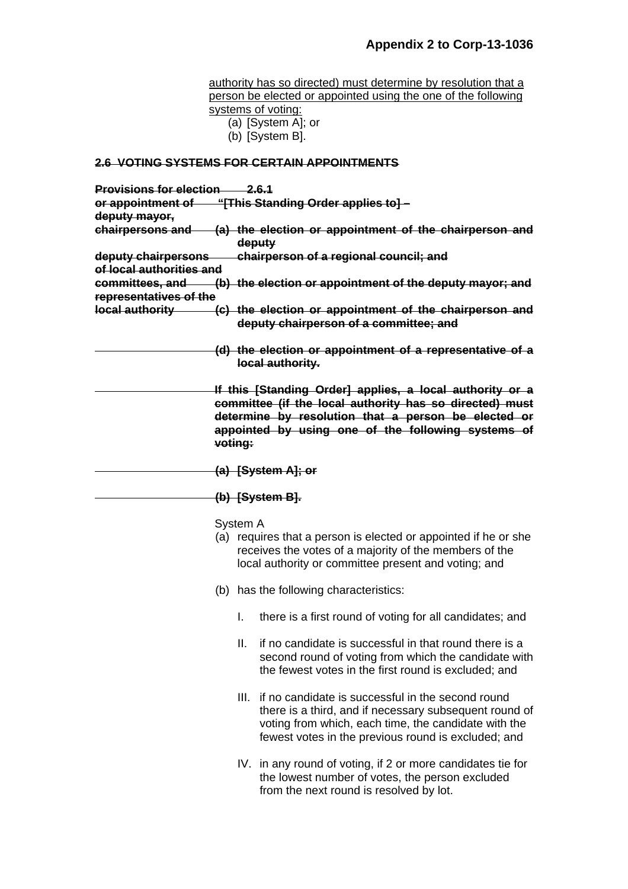authority has so directed) must determine by resolution that a person be elected or appointed using the one of the following systems of voting: (a) [System A]; or (b) [System B]. **2.6 VOTING SYSTEMS FOR CERTAIN APPOINTMENTS Provisions for election 2.6.1 or appointment of "[This Standing Order applies to] – deputy mayor, chairpersons and (a) the election or appointment of the chairperson and deputy deputy chairpersons chairperson of a regional council; and of local authorities and committees, and (b) the election or appointment of the deputy mayor; and representatives of the local authority (c) the election or appointment of the chairperson and deputy chairperson of a committee; and (d) the election or appointment of a representative of a local authority. If this [Standing Order] applies, a local authority or a committee (if the local authority has so directed) must determine by resolution that a person be elected or appointed by using one of the following systems of voting: (a) [System A]; or (b) [System B].** System A (a) requires that a person is elected or appointed if he or she receives the votes of a majority of the members of the local authority or committee present and voting; and (b) has the following characteristics: I. there is a first round of voting for all candidates; and II. if no candidate is successful in that round there is a second round of voting from which the candidate with the fewest votes in the first round is excluded; and III. if no candidate is successful in the second round there is a third, and if necessary subsequent round of voting from which, each time, the candidate with the fewest votes in the previous round is excluded; and IV. in any round of voting, if 2 or more candidates tie for the lowest number of votes, the person excluded

from the next round is resolved by lot.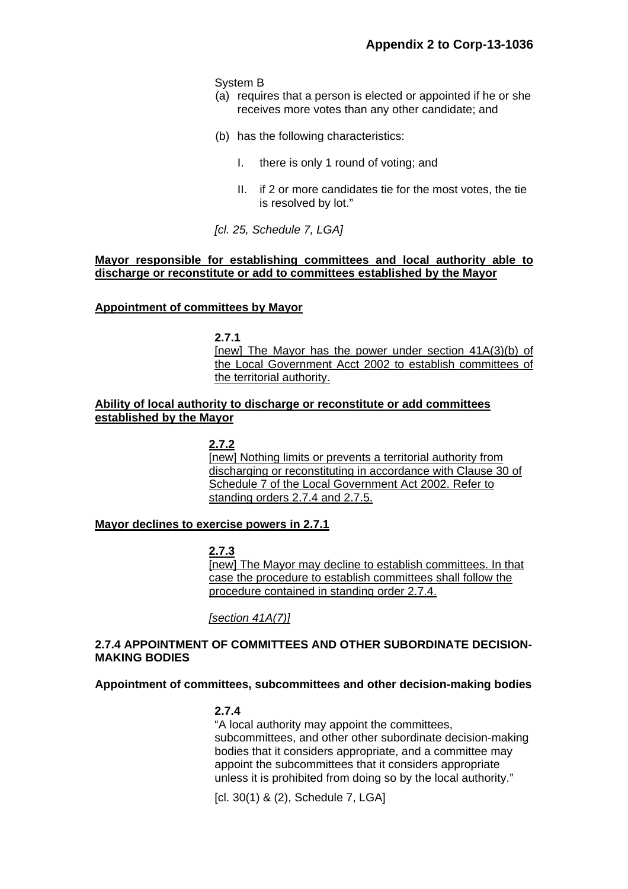System B

- (a) requires that a person is elected or appointed if he or she receives more votes than any other candidate; and
- (b) has the following characteristics:
	- I. there is only 1 round of voting; and
	- II. if 2 or more candidates tie for the most votes, the tie is resolved by lot."

*[cl. 25, Schedule 7, LGA]* 

## **Mayor responsible for establishing committees and local authority able to discharge or reconstitute or add to committees established by the Mayor**

### **Appointment of committees by Mayor**

**2.7.1** 

[new] The Mayor has the power under section 41A(3)(b) of the Local Government Acct 2002 to establish committees of the territorial authority.

# **Ability of local authority to discharge or reconstitute or add committees established by the Mayor**

**2.7.2**  [new] Nothing limits or prevents a territorial authority from discharging or reconstituting in accordance with Clause 30 of Schedule 7 of the Local Government Act 2002. Refer to standing orders 2.7.4 and 2.7.5.

# **Mayor declines to exercise powers in 2.7.1**

**2.7.3** 

[new] The Mayor may decline to establish committees. In that case the procedure to establish committees shall follow the procedure contained in standing order 2.7.4.

*[section 41A(7)]*

# **2.7.4 APPOINTMENT OF COMMITTEES AND OTHER SUBORDINATE DECISION-MAKING BODIES**

#### **Appointment of committees, subcommittees and other decision-making bodies**

#### **2.7.4**

 "A local authority may appoint the committees, subcommittees, and other other subordinate decision-making bodies that it considers appropriate, and a committee may appoint the subcommittees that it considers appropriate unless it is prohibited from doing so by the local authority."

[cl. 30(1) & (2), Schedule 7, LGA]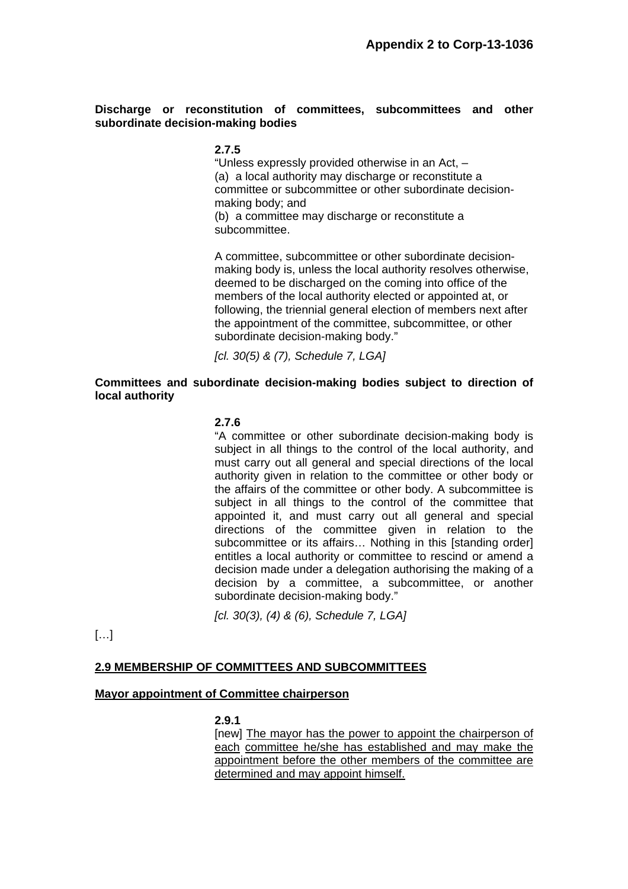# **Discharge or reconstitution of committees, subcommittees and other subordinate decision-making bodies**

### **2.7.5**

 "Unless expressly provided otherwise in an Act, – (a) a local authority may discharge or reconstitute a committee or subcommittee or other subordinate decisionmaking body; and (b) a committee may discharge or reconstitute a

subcommittee.

 A committee, subcommittee or other subordinate decisionmaking body is, unless the local authority resolves otherwise, deemed to be discharged on the coming into office of the members of the local authority elected or appointed at, or following, the triennial general election of members next after the appointment of the committee, subcommittee, or other subordinate decision-making body."

*[cl. 30(5) & (7), Schedule 7, LGA]* 

# **Committees and subordinate decision-making bodies subject to direction of local authority**

### **2.7.6**

 "A committee or other subordinate decision-making body is subject in all things to the control of the local authority, and must carry out all general and special directions of the local authority given in relation to the committee or other body or the affairs of the committee or other body. A subcommittee is subject in all things to the control of the committee that appointed it, and must carry out all general and special directions of the committee given in relation to the subcommittee or its affairs... Nothing in this [standing order] entitles a local authority or committee to rescind or amend a decision made under a delegation authorising the making of a decision by a committee, a subcommittee, or another subordinate decision-making body."

*[cl. 30(3), (4) & (6), Schedule 7, LGA]* 

[…]

#### **2.9 MEMBERSHIP OF COMMITTEES AND SUBCOMMITTEES**

#### **Mayor appointment of Committee chairperson**

#### **2.9.1**

 [new] The mayor has the power to appoint the chairperson of each committee he/she has established and may make the appointment before the other members of the committee are determined and may appoint himself.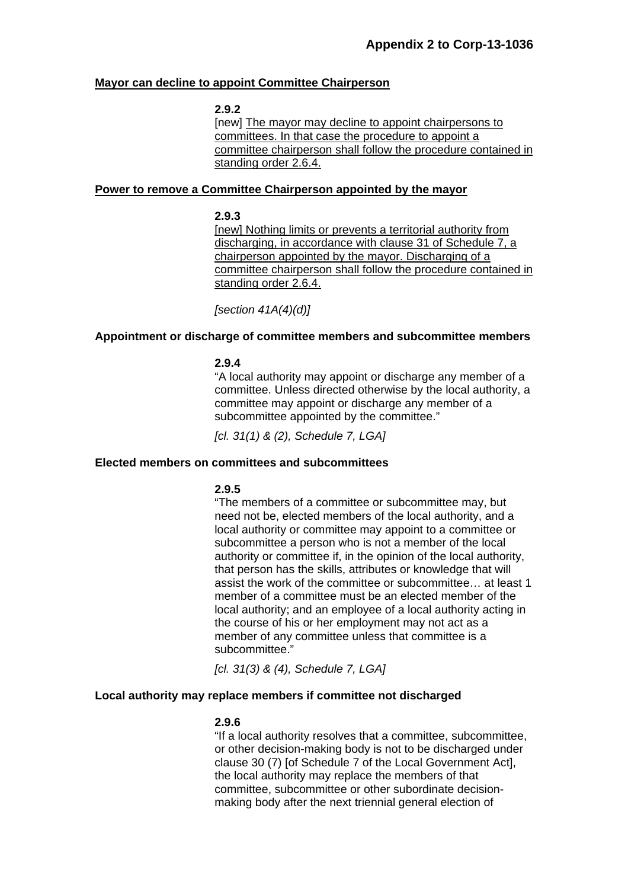### **Mayor can decline to appoint Committee Chairperson**

#### **2.9.2**

 [new] The mayor may decline to appoint chairpersons to committees. In that case the procedure to appoint a committee chairperson shall follow the procedure contained in standing order 2.6.4.

#### **Power to remove a Committee Chairperson appointed by the mayor**

#### **2.9.3**

[new] Nothing limits or prevents a territorial authority from discharging, in accordance with clause 31 of Schedule 7, a chairperson appointed by the mayor. Discharging of a committee chairperson shall follow the procedure contained in standing order 2.6.4.

*[section 41A(4)(d)]* 

### **Appointment or discharge of committee members and subcommittee members**

#### **2.9.4**

"A local authority may appoint or discharge any member of a committee. Unless directed otherwise by the local authority, a committee may appoint or discharge any member of a subcommittee appointed by the committee."

*[cl. 31(1) & (2), Schedule 7, LGA]* 

#### **Elected members on committees and subcommittees**

# **2.9.5**

"The members of a committee or subcommittee may, but need not be, elected members of the local authority, and a local authority or committee may appoint to a committee or subcommittee a person who is not a member of the local authority or committee if, in the opinion of the local authority, that person has the skills, attributes or knowledge that will assist the work of the committee or subcommittee… at least 1 member of a committee must be an elected member of the local authority; and an employee of a local authority acting in the course of his or her employment may not act as a member of any committee unless that committee is a subcommittee."

*[cl. 31(3) & (4), Schedule 7, LGA]* 

#### **Local authority may replace members if committee not discharged**

#### **2.9.6**

"If a local authority resolves that a committee, subcommittee, or other decision-making body is not to be discharged under clause 30 (7) [of Schedule 7 of the Local Government Act], the local authority may replace the members of that committee, subcommittee or other subordinate decisionmaking body after the next triennial general election of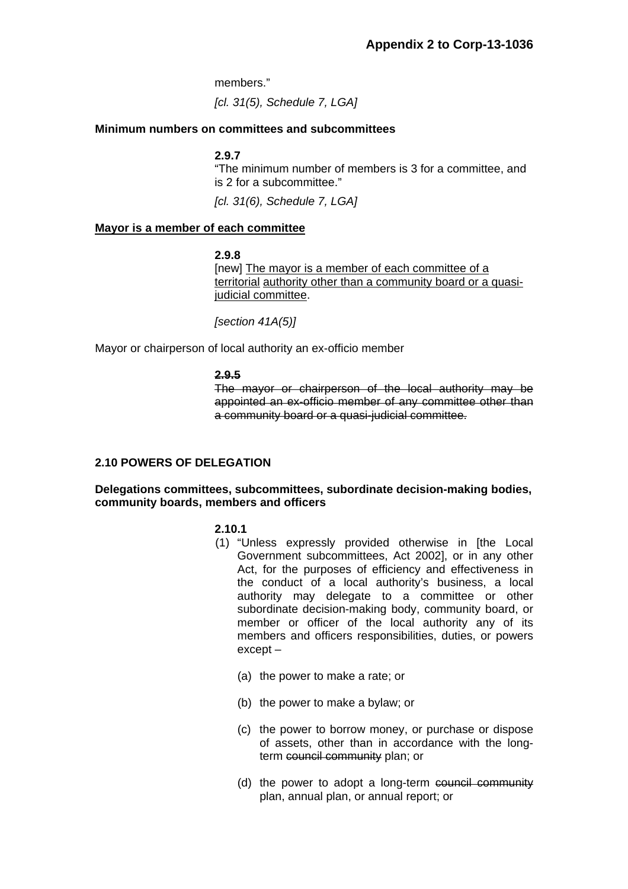members."

*[cl. 31(5), Schedule 7, LGA]* 

# **Minimum numbers on committees and subcommittees**

### **2.9.7**

"The minimum number of members is 3 for a committee, and is 2 for a subcommittee."

*[cl. 31(6), Schedule 7, LGA]* 

### **Mayor is a member of each committee**

#### **2.9.8**

[new] The mayor is a member of each committee of a territorial authority other than a community board or a quasijudicial committee.

 *[section 41A(5)]* 

Mayor or chairperson of local authority an ex-officio member

#### **2.9.5**

The mayor or chairperson of the local authority may be appointed an ex-officio member of any committee other than a community board or a quasi-judicial committee.

# **2.10 POWERS OF DELEGATION**

### **Delegations committees, subcommittees, subordinate decision-making bodies, community boards, members and officers**

# **2.10.1**

- (1) "Unless expressly provided otherwise in [the Local Government subcommittees, Act 2002], or in any other Act, for the purposes of efficiency and effectiveness in the conduct of a local authority's business, a local authority may delegate to a committee or other subordinate decision-making body, community board, or member or officer of the local authority any of its members and officers responsibilities, duties, or powers except –
	- (a) the power to make a rate; or
	- (b) the power to make a bylaw; or
	- (c) the power to borrow money, or purchase or dispose of assets, other than in accordance with the longterm council community plan; or
	- (d) the power to adopt a long-term council community plan, annual plan, or annual report; or